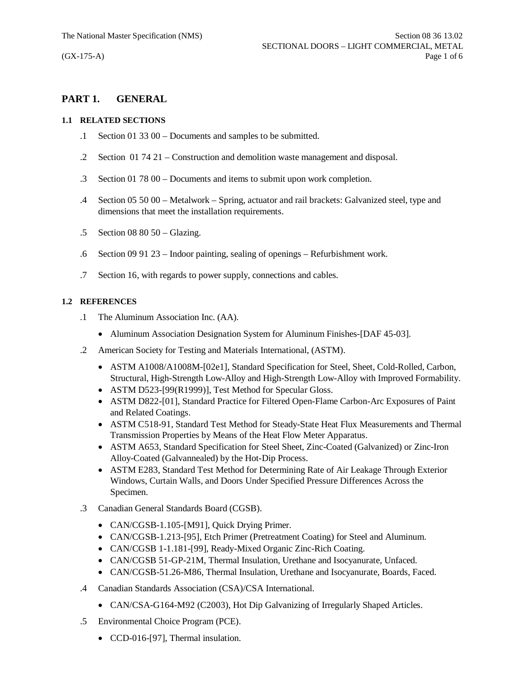# **PART 1. GENERAL**

#### **1.1 RELATED SECTIONS**

- .1 Section 01 33 00 Documents and samples to be submitted.
- .2 Section 01 74 21 Construction and demolition waste management and disposal.
- .3 Section 01 78 00 Documents and items to submit upon work completion.
- .4 Section 05 50 00 Metalwork Spring, actuator and rail brackets: Galvanized steel, type and dimensions that meet the installation requirements.
- .5 Section 08 80 50 Glazing.
- .6 Section 09 91 23 Indoor painting, sealing of openings Refurbishment work.
- .7 Section 16, with regards to power supply, connections and cables.

## **1.2 REFERENCES**

- .1 The Aluminum Association Inc. (AA).
	- Aluminum Association Designation System for Aluminum Finishes-[DAF 45-03].
- .2 American Society for Testing and Materials International, (ASTM).
	- · ASTM A1008/A1008M-[02e1], Standard Specification for Steel, Sheet, Cold-Rolled, Carbon, Structural, High-Strength Low-Alloy and High-Strength Low-Alloy with Improved Formability.
	- ASTM D523-[99(R1999)], Test Method for Specular Gloss.
	- · ASTM D822-[01], Standard Practice for Filtered Open-Flame Carbon-Arc Exposures of Paint and Related Coatings.
	- · ASTM C518-91, Standard Test Method for Steady-State Heat Flux Measurements and Thermal Transmission Properties by Means of the Heat Flow Meter Apparatus.
	- · ASTM A653, Standard Specification for Steel Sheet, Zinc-Coated (Galvanized) or Zinc-Iron Alloy-Coated (Galvannealed) by the Hot-Dip Process.
	- · ASTM E283, Standard Test Method for Determining Rate of Air Leakage Through Exterior Windows, Curtain Walls, and Doors Under Specified Pressure Differences Across the Specimen.
- .3 Canadian General Standards Board (CGSB).
	- CAN/CGSB-1.105-[M91], Quick Drying Primer.
	- · CAN/CGSB-1.213-[95], Etch Primer (Pretreatment Coating) for Steel and Aluminum.
	- · CAN/CGSB 1-1.181-[99], Ready-Mixed Organic Zinc-Rich Coating.
	- · CAN/CGSB 51-GP-21M, Thermal Insulation, Urethane and Isocyanurate, Unfaced.
	- · CAN/CGSB-51.26-M86, Thermal Insulation, Urethane and Isocyanurate, Boards, Faced.
- .4 Canadian Standards Association (CSA)/CSA International.
	- CAN/CSA-G164-M92 (C2003), Hot Dip Galvanizing of Irregularly Shaped Articles.
- .5 Environmental Choice Program (PCE).
	- CCD-016-[97], Thermal insulation.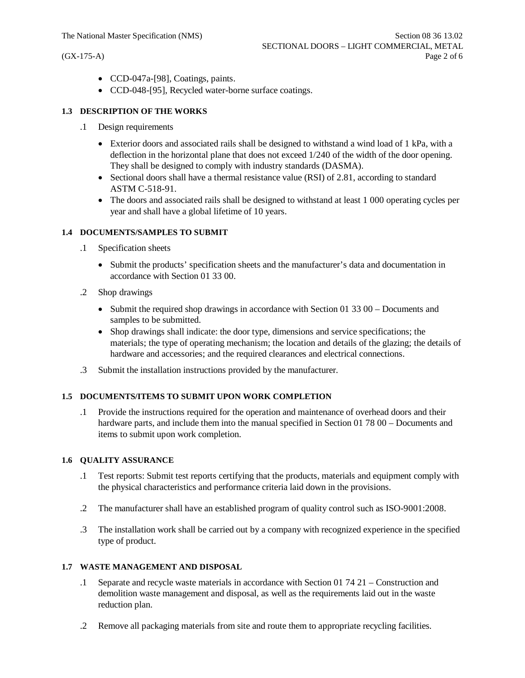- · CCD-047a-[98], Coatings, paints.
- · CCD-048-[95], Recycled water-borne surface coatings.

#### **1.3 DESCRIPTION OF THE WORKS**

- .1 Design requirements
	- Exterior doors and associated rails shall be designed to withstand a wind load of 1 kPa, with a deflection in the horizontal plane that does not exceed 1/240 of the width of the door opening. They shall be designed to comply with industry standards (DASMA).
	- Sectional doors shall have a thermal resistance value (RSI) of 2.81, according to standard ASTM C-518-91.
	- The doors and associated rails shall be designed to withstand at least 1 000 operating cycles per year and shall have a global lifetime of 10 years.

#### **1.4 DOCUMENTS/SAMPLES TO SUBMIT**

- .1 Specification sheets
	- · Submit the products' specification sheets and the manufacturer's data and documentation in accordance with Section 01 33 00.
- .2 Shop drawings
	- Submit the required shop drawings in accordance with Section 01 33 00 Documents and samples to be submitted.
	- · Shop drawings shall indicate: the door type, dimensions and service specifications; the materials; the type of operating mechanism; the location and details of the glazing; the details of hardware and accessories; and the required clearances and electrical connections.
- .3 Submit the installation instructions provided by the manufacturer.

## **1.5 DOCUMENTS/ITEMS TO SUBMIT UPON WORK COMPLETION**

.1 Provide the instructions required for the operation and maintenance of overhead doors and their hardware parts, and include them into the manual specified in Section 01 78 00 – Documents and items to submit upon work completion.

#### **1.6 QUALITY ASSURANCE**

- .1 Test reports: Submit test reports certifying that the products, materials and equipment comply with the physical characteristics and performance criteria laid down in the provisions.
- .2 The manufacturer shall have an established program of quality control such as ISO-9001:2008.
- .3 The installation work shall be carried out by a company with recognized experience in the specified type of product.

#### **1.7 WASTE MANAGEMENT AND DISPOSAL**

- .1 Separate and recycle waste materials in accordance with Section 01 74 21 Construction and demolition waste management and disposal, as well as the requirements laid out in the waste reduction plan.
- .2 Remove all packaging materials from site and route them to appropriate recycling facilities.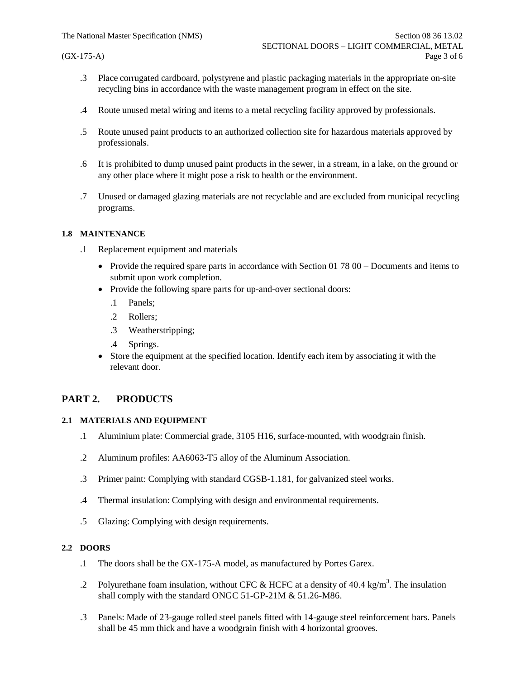- .3 Place corrugated cardboard, polystyrene and plastic packaging materials in the appropriate on-site recycling bins in accordance with the waste management program in effect on the site.
- .4 Route unused metal wiring and items to a metal recycling facility approved by professionals.
- .5 Route unused paint products to an authorized collection site for hazardous materials approved by professionals.
- .6 It is prohibited to dump unused paint products in the sewer, in a stream, in a lake, on the ground or any other place where it might pose a risk to health or the environment.
- .7 Unused or damaged glazing materials are not recyclable and are excluded from municipal recycling programs.

#### **1.8 MAINTENANCE**

- .1 Replacement equipment and materials
	- Provide the required spare parts in accordance with Section 01 78 00 Documents and items to submit upon work completion.
	- Provide the following spare parts for up-and-over sectional doors:
		- .1 Panels;
		- .2 Rollers;
		- .3 Weatherstripping;
		- .4 Springs.
	- Store the equipment at the specified location. Identify each item by associating it with the relevant door.

# **PART 2. PRODUCTS**

#### **2.1 MATERIALS AND EQUIPMENT**

- .1 Aluminium plate: Commercial grade, 3105 H16, surface-mounted, with woodgrain finish.
- .2 Aluminum profiles: AA6063-T5 alloy of the Aluminum Association.
- .3 Primer paint: Complying with standard CGSB-1.181, for galvanized steel works.
- .4 Thermal insulation: Complying with design and environmental requirements.
- .5 Glazing: Complying with design requirements.

## **2.2 DOORS**

- .1 The doors shall be the GX-175-A model, as manufactured by Portes Garex.
- .2 Polyurethane foam insulation, without CFC & HCFC at a density of 40.4 kg/m<sup>3</sup>. The insulation shall comply with the standard ONGC 51-GP-21M & 51.26-M86.
- .3 Panels: Made of 23-gauge rolled steel panels fitted with 14-gauge steel reinforcement bars. Panels shall be 45 mm thick and have a woodgrain finish with 4 horizontal grooves.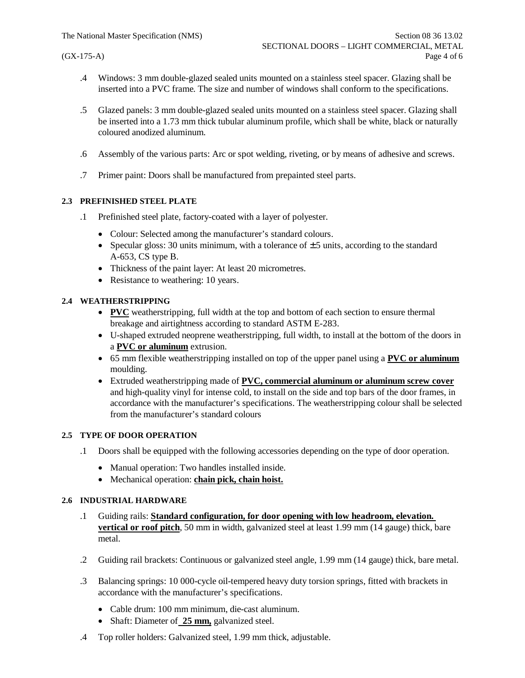- .4 Windows: 3 mm double-glazed sealed units mounted on a stainless steel spacer. Glazing shall be inserted into a PVC frame. The size and number of windows shall conform to the specifications.
- .5 Glazed panels: 3 mm double-glazed sealed units mounted on a stainless steel spacer. Glazing shall be inserted into a 1.73 mm thick tubular aluminum profile, which shall be white, black or naturally coloured anodized aluminum.
- .6 Assembly of the various parts: Arc or spot welding, riveting, or by means of adhesive and screws.
- .7 Primer paint: Doors shall be manufactured from prepainted steel parts.

## **2.3 PREFINISHED STEEL PLATE**

- .1 Prefinished steel plate, factory-coated with a layer of polyester.
	- · Colour: Selected among the manufacturer's standard colours.
	- Specular gloss: 30 units minimum, with a tolerance of  $\pm$  5 units, according to the standard A-653, CS type B.
	- Thickness of the paint layer: At least 20 micrometres.
	- Resistance to weathering: 10 years.

## **2.4 WEATHERSTRIPPING**

- · **PVC** weatherstripping, full width at the top and bottom of each section to ensure thermal breakage and airtightness according to standard ASTM E-283.
- · U-shaped extruded neoprene weatherstripping, full width, to install at the bottom of the doors in a **PVC or aluminum** extrusion.
- · 65 mm flexible weatherstripping installed on top of the upper panel using a **PVC or aluminum** moulding.
- · Extruded weatherstripping made of **PVC, commercial aluminum or aluminum screw cover** and high-quality vinyl for intense cold, to install on the side and top bars of the door frames, in accordance with the manufacturer's specifications. The weatherstripping colour shall be selected from the manufacturer's standard colours

## **2.5 TYPE OF DOOR OPERATION**

- .1 Doors shall be equipped with the following accessories depending on the type of door operation.
	- · Manual operation: Two handles installed inside.
	- · Mechanical operation: **chain pick, chain hoist.**

## **2.6 INDUSTRIAL HARDWARE**

- .1 Guiding rails: **Standard configuration, for door opening with low headroom, elevation. vertical or roof pitch**, 50 mm in width, galvanized steel at least 1.99 mm (14 gauge) thick, bare metal.
- .2 Guiding rail brackets: Continuous or galvanized steel angle, 1.99 mm (14 gauge) thick, bare metal.
- .3 Balancing springs: 10 000-cycle oil-tempered heavy duty torsion springs, fitted with brackets in accordance with the manufacturer's specifications.
	- · Cable drum: 100 mm minimum, die-cast aluminum.
	- · Shaft: Diameter of **25 mm,** galvanized steel.
- .4 Top roller holders: Galvanized steel, 1.99 mm thick, adjustable.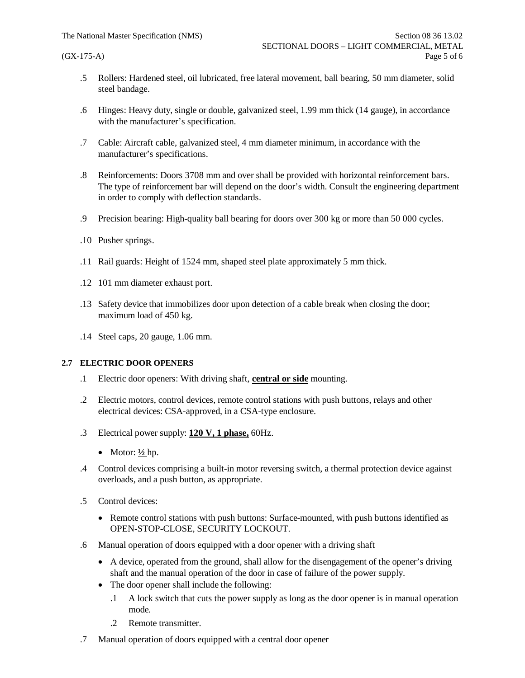- .5 Rollers: Hardened steel, oil lubricated, free lateral movement, ball bearing, 50 mm diameter, solid steel bandage.
- .6 Hinges: Heavy duty, single or double, galvanized steel, 1.99 mm thick (14 gauge), in accordance with the manufacturer's specification.
- .7 Cable: Aircraft cable, galvanized steel, 4 mm diameter minimum, in accordance with the manufacturer's specifications.
- .8 Reinforcements: Doors 3708 mm and over shall be provided with horizontal reinforcement bars. The type of reinforcement bar will depend on the door's width. Consult the engineering department in order to comply with deflection standards.
- .9 Precision bearing: High-quality ball bearing for doors over 300 kg or more than 50 000 cycles.
- .10 Pusher springs.
- .11 Rail guards: Height of 1524 mm, shaped steel plate approximately 5 mm thick.
- .12 101 mm diameter exhaust port.
- .13 Safety device that immobilizes door upon detection of a cable break when closing the door; maximum load of 450 kg.
- .14 Steel caps, 20 gauge, 1.06 mm.

## **2.7 ELECTRIC DOOR OPENERS**

- .1 Electric door openers: With driving shaft, **central or side** mounting.
- .2 Electric motors, control devices, remote control stations with push buttons, relays and other electrical devices: CSA-approved, in a CSA-type enclosure.
- .3 Electrical power supply: **120 V, 1 phase,** 60Hz.
	- Motor:  $\frac{1}{2}$ hp.
- .4 Control devices comprising a built-in motor reversing switch, a thermal protection device against overloads, and a push button, as appropriate.
- .5 Control devices:
	- · Remote control stations with push buttons: Surface-mounted, with push buttons identified as OPEN-STOP-CLOSE, SECURITY LOCKOUT.
- .6 Manual operation of doors equipped with a door opener with a driving shaft
	- · A device, operated from the ground, shall allow for the disengagement of the opener's driving shaft and the manual operation of the door in case of failure of the power supply.
	- The door opener shall include the following:
		- .1 A lock switch that cuts the power supply as long as the door opener is in manual operation mode.
		- .2 Remote transmitter.
- .7 Manual operation of doors equipped with a central door opener